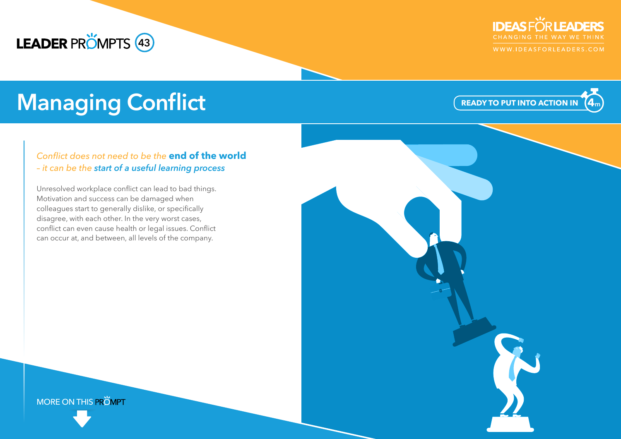## **LEADER PROMPTS** 43



WWW.IDEASFORLEADERS.COM

# **Managing Conflict**

### *Conflict does not need to be the* **end of the world**  *– it can be the start of a useful learning process*

Unresolved workplace conflict can lead to bad things. Motivation and success can be damaged when colleagues start to generally dislike, or specifically disagree, with each other. In the very worst cases, conflict can even cause health or legal issues. Conflict can occur at, and between, all levels of the company.

**READY TO PUT INTO ACTION IN 4 m**

MORE ON THIS PROMPT